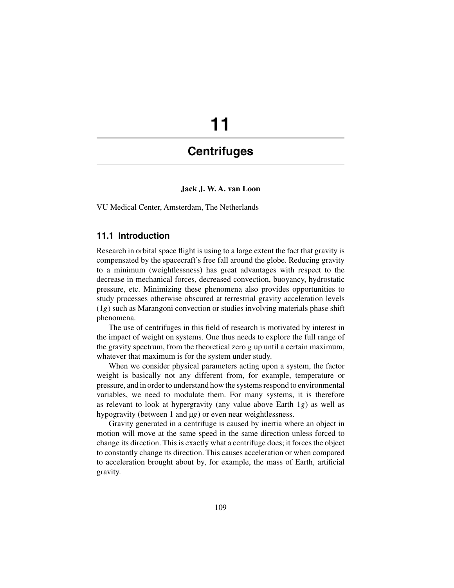# **11**

# **Centrifuges**

## **Jack J. W. A. van Loon**

VU Medical Center, Amsterdam, The Netherlands

# **11.1 Introduction**

Research in orbital space flight is using to a large extent the fact that gravity is compensated by the spacecraft's free fall around the globe. Reducing gravity to a minimum (weightlessness) has great advantages with respect to the decrease in mechanical forces, decreased convection, buoyancy, hydrostatic pressure, etc. Minimizing these phenomena also provides opportunities to study processes otherwise obscured at terrestrial gravity acceleration levels (1*g*) such as Marangoni convection or studies involving materials phase shift phenomena.

The use of centrifuges in this field of research is motivated by interest in the impact of weight on systems. One thus needs to explore the full range of the gravity spectrum, from the theoretical zero *g* up until a certain maximum, whatever that maximum is for the system under study.

When we consider physical parameters acting upon a system, the factor weight is basically not any different from, for example, temperature or pressure, and in order to understand how the systems respond to environmental variables, we need to modulate them. For many systems, it is therefore as relevant to look at hypergravity (any value above Earth 1*g*) as well as hypogravity (between 1 and  $\mu$ *g*) or even near weightlessness.

Gravity generated in a centrifuge is caused by inertia where an object in motion will move at the same speed in the same direction unless forced to change its direction. This is exactly what a centrifuge does; it forces the object to constantly change its direction. This causes acceleration or when compared to acceleration brought about by, for example, the mass of Earth, artificial gravity.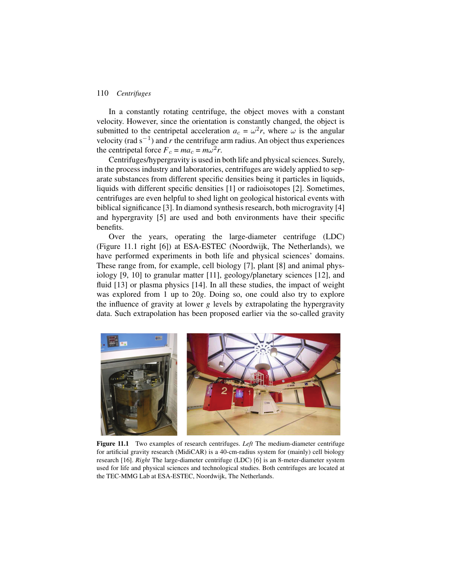In a constantly rotating centrifuge, the object moves with a constant velocity. However, since the orientation is constantly changed, the object is submitted to the centripetal acceleration  $a_c = \omega^2 r$ , where  $\omega$  is the angular velocity (rad s−1) and *r* the centrifuge arm radius. An object thus experiences the centripetal force  $F_c = ma_c = m\omega^2 r$ .

Centrifuges/hypergravity is used in both life and physical sciences. Surely, in the process industry and laboratories, centrifuges are widely applied to separate substances from different specific densities being it particles in liquids, liquids with different specific densities [1] or radioisotopes [2]. Sometimes, centrifuges are even helpful to shed light on geological historical events with biblical significance [3]. In diamond synthesis research, both microgravity [4] and hypergravity [5] are used and both environments have their specific benefits.

Over the years, operating the large-diameter centrifuge (LDC) (Figure 11.1 right [6]) at ESA-ESTEC (Noordwijk, The Netherlands), we have performed experiments in both life and physical sciences' domains. These range from, for example, cell biology [7], plant [8] and animal physiology [9, 10] to granular matter [11], geology/planetary sciences [12], and fluid [13] or plasma physics [14]. In all these studies, the impact of weight was explored from 1 up to 20*g*. Doing so, one could also try to explore the influence of gravity at lower *g* levels by extrapolating the hypergravity data. Such extrapolation has been proposed earlier via the so-called gravity



**Figure 11.1** Two examples of research centrifuges. *Left* The medium-diameter centrifuge for artificial gravity research (MidiCAR) is a 40-cm-radius system for (mainly) cell biology research [16]. *Right* The large-diameter centrifuge (LDC) [6] is an 8-meter-diameter system used for life and physical sciences and technological studies. Both centrifuges are located at the TEC-MMG Lab at ESA-ESTEC, Noordwijk, The Netherlands.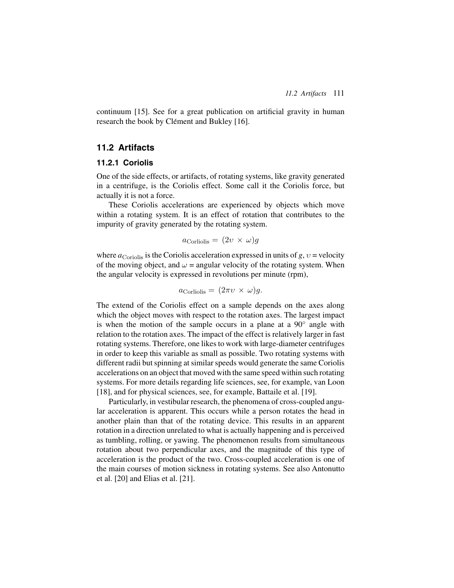continuum [15]. See for a great publication on artificial gravity in human research the book by Clément and Bukley [16].

# **11.2 Artifacts**

# **11.2.1 Coriolis**

One of the side effects, or artifacts, of rotating systems, like gravity generated in a centrifuge, is the Coriolis effect. Some call it the Coriolis force, but actually it is not a force.

These Coriolis accelerations are experienced by objects which move within a rotating system. It is an effect of rotation that contributes to the impurity of gravity generated by the rotating system.

$$
a_{\text{Corliolis}} = (2\upsilon \times \omega)g
$$

where  $a_{Coriolis}$  is the Coriolis acceleration expressed in units of  $g, v$  = velocity of the moving object, and  $\omega$  = angular velocity of the rotating system. When the angular velocity is expressed in revolutions per minute (rpm),

$$
a_{\text{Corliolis}} = (2\pi \nu \times \omega)g.
$$

The extend of the Coriolis effect on a sample depends on the axes along which the object moves with respect to the rotation axes. The largest impact is when the motion of the sample occurs in a plane at a  $90^\circ$  angle with relation to the rotation axes. The impact of the effect is relatively larger in fast rotating systems. Therefore, one likes to work with large-diameter centrifuges in order to keep this variable as small as possible. Two rotating systems with different radii but spinning at similar speeds would generate the same Coriolis accelerations on an object that moved with the same speed within such rotating systems. For more details regarding life sciences, see, for example, van Loon [18], and for physical sciences, see, for example, Battaile et al. [19].

Particularly, in vestibular research, the phenomena of cross-coupled angular acceleration is apparent. This occurs while a person rotates the head in another plain than that of the rotating device. This results in an apparent rotation in a direction unrelated to what is actually happening and is perceived as tumbling, rolling, or yawing. The phenomenon results from simultaneous rotation about two perpendicular axes, and the magnitude of this type of acceleration is the product of the two. Cross-coupled acceleration is one of the main courses of motion sickness in rotating systems. See also Antonutto et al. [20] and Elias et al. [21].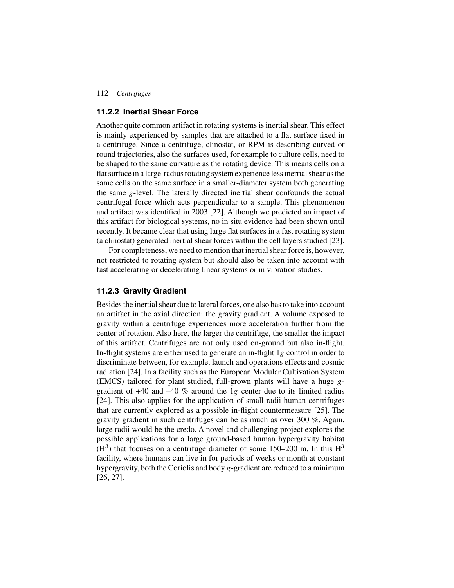#### **11.2.2 Inertial Shear Force**

Another quite common artifact in rotating systems is inertial shear. This effect is mainly experienced by samples that are attached to a flat surface fixed in a centrifuge. Since a centrifuge, clinostat, or RPM is describing curved or round trajectories, also the surfaces used, for example to culture cells, need to be shaped to the same curvature as the rotating device. This means cells on a flat surface in a large-radius rotating system experience less inertial shear as the same cells on the same surface in a smaller-diameter system both generating the same *g*-level. The laterally directed inertial shear confounds the actual centrifugal force which acts perpendicular to a sample. This phenomenon and artifact was identified in 2003 [22]. Although we predicted an impact of this artifact for biological systems, no in situ evidence had been shown until recently. It became clear that using large flat surfaces in a fast rotating system (a clinostat) generated inertial shear forces within the cell layers studied [23].

For completeness, we need to mention that inertial shear force is, however, not restricted to rotating system but should also be taken into account with fast accelerating or decelerating linear systems or in vibration studies.

### **11.2.3 Gravity Gradient**

Besides the inertial shear due to lateral forces, one also has to take into account an artifact in the axial direction: the gravity gradient. A volume exposed to gravity within a centrifuge experiences more acceleration further from the center of rotation. Also here, the larger the centrifuge, the smaller the impact of this artifact. Centrifuges are not only used on-ground but also in-flight. In-flight systems are either used to generate an in-flight 1*g* control in order to discriminate between, for example, launch and operations effects and cosmic radiation [24]. In a facility such as the European Modular Cultivation System (EMCS) tailored for plant studied, full-grown plants will have a huge *g*gradient of +40 and –40 % around the 1*g* center due to its limited radius [24]. This also applies for the application of small-radii human centrifuges that are currently explored as a possible in-flight countermeasure [25]. The gravity gradient in such centrifuges can be as much as over 300 %. Again, large radii would be the credo. A novel and challenging project explores the possible applications for a large ground-based human hypergravity habitat  $(H<sup>3</sup>)$  that focuses on a centrifuge diameter of some 150–200 m. In this  $H<sup>3</sup>$ facility, where humans can live in for periods of weeks or month at constant hypergravity, both the Coriolis and body *g*-gradient are reduced to a minimum [26, 27].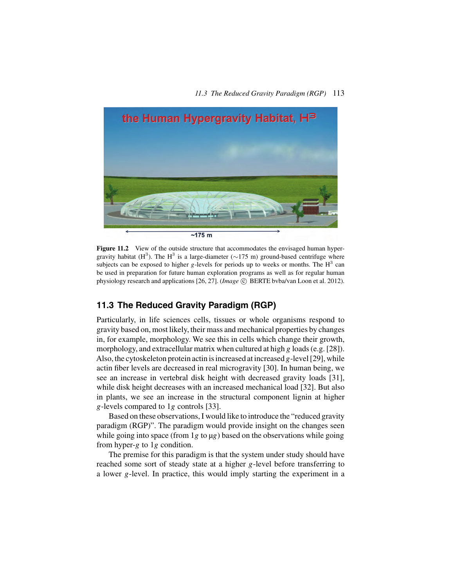

Figure 11.2 View of the outside structure that accommodates the envisaged human hypergravity habitat (H<sup>3</sup>). The H<sup>3</sup> is a large-diameter ( $\sim$ 175 m) ground-based centrifuge where subjects can be exposed to higher *g*-levels for periods up to weeks or months. The  $H<sup>3</sup>$  can be used in preparation for future human exploration programs as well as for regular human physiology research and applications [26, 27]. (*Image*  $\odot$  BERTE bvba/van Loon et al. 2012).

# **11.3 The Reduced Gravity Paradigm (RGP)**

Particularly, in life sciences cells, tissues or whole organisms respond to gravity based on, most likely, their mass and mechanical properties by changes in, for example, morphology. We see this in cells which change their growth, morphology, and extracellular matrix when cultured at high *g* loads (e.g. [28]). Also, the cytoskeleton protein actin is increased at increased *g*-level [29], while actin fiber levels are decreased in real microgravity [30]. In human being, we see an increase in vertebral disk height with decreased gravity loads [31], while disk height decreases with an increased mechanical load [32]. But also in plants, we see an increase in the structural component lignin at higher *g*-levels compared to 1*g* controls [33].

Based on these observations, I would like to introduce the "reduced gravity paradigm (RGP)". The paradigm would provide insight on the changes seen while going into space (from 1*g* to µ*g*) based on the observations while going from hyper-*g* to 1*g* condition.

The premise for this paradigm is that the system under study should have reached some sort of steady state at a higher *g*-level before transferring to a lower *g*-level. In practice, this would imply starting the experiment in a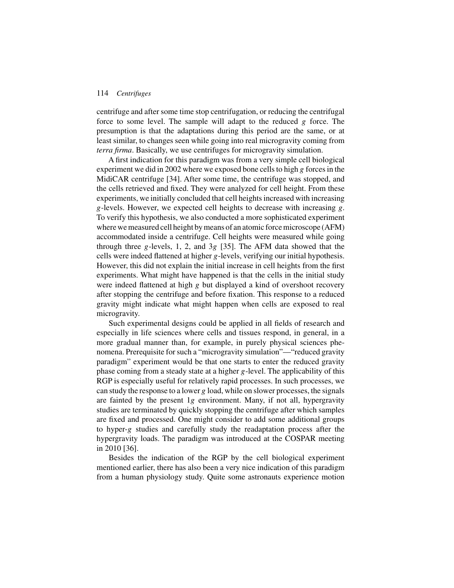centrifuge and after some time stop centrifugation, or reducing the centrifugal force to some level. The sample will adapt to the reduced *g* force. The presumption is that the adaptations during this period are the same, or at least similar, to changes seen while going into real microgravity coming from *terra firma*. Basically, we use centrifuges for microgravity simulation.

A first indication for this paradigm was from a very simple cell biological experiment we did in 2002 where we exposed bone cells to high *g* forces in the MidiCAR centrifuge [34]. After some time, the centrifuge was stopped, and the cells retrieved and fixed. They were analyzed for cell height. From these experiments, we initially concluded that cell heights increased with increasing *g*-levels. However, we expected cell heights to decrease with increasing *g*. To verify this hypothesis, we also conducted a more sophisticated experiment where we measured cell height by means of an atomic force microscope (AFM) accommodated inside a centrifuge. Cell heights were measured while going through three *g*-levels, 1, 2, and 3*g* [35]. The AFM data showed that the cells were indeed flattened at higher *g*-levels, verifying our initial hypothesis. However, this did not explain the initial increase in cell heights from the first experiments. What might have happened is that the cells in the initial study were indeed flattened at high *g* but displayed a kind of overshoot recovery after stopping the centrifuge and before fixation. This response to a reduced gravity might indicate what might happen when cells are exposed to real microgravity.

Such experimental designs could be applied in all fields of research and especially in life sciences where cells and tissues respond, in general, in a more gradual manner than, for example, in purely physical sciences phenomena. Prerequisite for such a "microgravity simulation"—"reduced gravity paradigm" experiment would be that one starts to enter the reduced gravity phase coming from a steady state at a higher *g*-level. The applicability of this RGP is especially useful for relatively rapid processes. In such processes, we can study the response to a lower *g* load, while on slower processes, the signals are fainted by the present 1*g* environment. Many, if not all, hypergravity studies are terminated by quickly stopping the centrifuge after which samples are fixed and processed. One might consider to add some additional groups to hyper-*g* studies and carefully study the readaptation process after the hypergravity loads. The paradigm was introduced at the COSPAR meeting in 2010 [36].

Besides the indication of the RGP by the cell biological experiment mentioned earlier, there has also been a very nice indication of this paradigm from a human physiology study. Quite some astronauts experience motion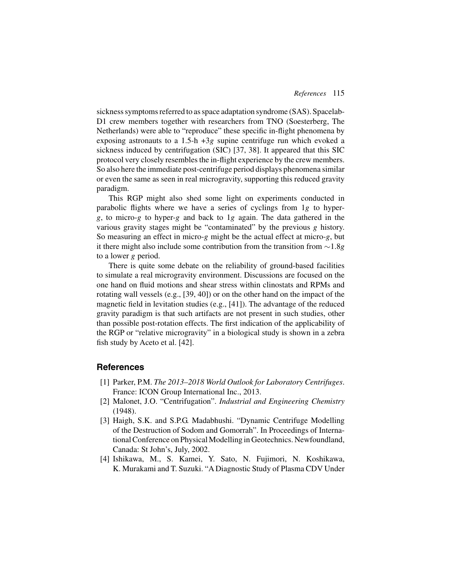sickness symptoms referred to as space adaptation syndrome (SAS). Spacelab-D1 crew members together with researchers from TNO (Soesterberg, The Netherlands) were able to "reproduce" these specific in-flight phenomena by exposing astronauts to a 1.5-h +3*g* supine centrifuge run which evoked a sickness induced by centrifugation (SIC) [37, 38]. It appeared that this SIC protocol very closely resembles the in-flight experience by the crew members. So also here the immediate post-centrifuge period displays phenomena similar or even the same as seen in real microgravity, supporting this reduced gravity paradigm.

This RGP might also shed some light on experiments conducted in parabolic flights where we have a series of cyclings from 1*g* to hyper*g*, to micro-*g* to hyper-*g* and back to 1*g* again. The data gathered in the various gravity stages might be "contaminated" by the previous *g* history. So measuring an effect in micro-*g* might be the actual effect at micro-*g*, but it there might also include some contribution from the transition from ∼1.8*g* to a lower *g* period.

There is quite some debate on the reliability of ground-based facilities to simulate a real microgravity environment. Discussions are focused on the one hand on fluid motions and shear stress within clinostats and RPMs and rotating wall vessels (e.g., [39, 40]) or on the other hand on the impact of the magnetic field in levitation studies (e.g., [41]). The advantage of the reduced gravity paradigm is that such artifacts are not present in such studies, other than possible post-rotation effects. The first indication of the applicability of the RGP or "relative microgravity" in a biological study is shown in a zebra fish study by Aceto et al. [42].

# **References**

- [1] Parker, P.M. *The 2013–2018 World Outlook for Laboratory Centrifuges*. France: ICON Group International Inc., 2013.
- [2] Malonet, J.O. "Centrifugation". *Industrial and Engineering Chemistry* (1948).
- [3] Haigh, S.K. and S.P.G. Madabhushi. "Dynamic Centrifuge Modelling of the Destruction of Sodom and Gomorrah". In Proceedings of International Conference on Physical Modelling in Geotechnics. Newfoundland, Canada: St John's, July, 2002.
- [4] Ishikawa, M., S. Kamei, Y. Sato, N. Fujimori, N. Koshikawa, K. Murakami and T. Suzuki. "A Diagnostic Study of Plasma CDV Under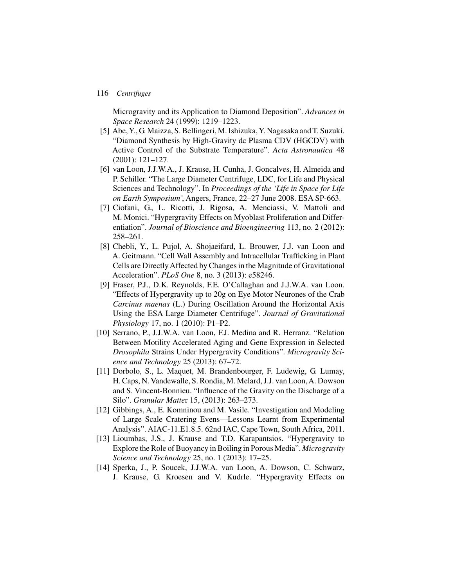Microgravity and its Application to Diamond Deposition". *Advances in Space Research* 24 (1999): 1219–1223.

- [5] Abe, Y., G. Maizza, S. Bellingeri, M. Ishizuka, Y. Nagasaka and T. Suzuki. "Diamond Synthesis by High-Gravity dc Plasma CDV (HGCDV) with Active Control of the Substrate Temperature". *Acta Astronautica* 48 (2001): 121–127.
- [6] van Loon, J.J.W.A., J. Krause, H. Cunha, J. Goncalves, H. Almeida and P. Schiller. "The Large Diameter Centrifuge, LDC, for Life and Physical Sciences and Technology". In *Proceedings of the 'Life in Space for Life on Earth Symposium'*, Angers, France, 22–27 June 2008. ESA SP-663.
- [7] Ciofani, G., L. Ricotti, J. Rigosa, A. Menciassi, V. Mattoli and M. Monici. "Hypergravity Effects on Myoblast Proliferation and Differentiation". *Journal of Bioscience and Bioengineering* 113, no. 2 (2012): 258–261.
- [8] Chebli, Y., L. Pujol, A. Shojaeifard, L. Brouwer, J.J. van Loon and A. Geitmann. "Cell Wall Assembly and Intracellular Trafficking in Plant Cells are Directly Affected by Changes in the Magnitude of Gravitational Acceleration". *PLoS One* 8, no. 3 (2013): e58246.
- [9] Fraser, P.J., D.K. Reynolds, F.E. O'Callaghan and J.J.W.A. van Loon. "Effects of Hypergravity up to 20g on Eye Motor Neurones of the Crab *Carcinus maenas* (L.) During Oscillation Around the Horizontal Axis Using the ESA Large Diameter Centrifuge". *Journal of Gravitational Physiology* 17, no. 1 (2010): P1–P2.
- [10] Serrano, P., J.J.W.A. van Loon, F.J. Medina and R. Herranz. "Relation Between Motility Accelerated Aging and Gene Expression in Selected *Drosophila* Strains Under Hypergravity Conditions". *Microgravity Science and Technology* 25 (2013): 67–72.
- [11] Dorbolo, S., L. Maquet, M. Brandenbourger, F. Ludewig, G. Lumay, H. Caps, N. Vandewalle, S. Rondia, M. Melard, J.J. van Loon,A. Dowson and S. Vincent-Bonnieu. "Influence of the Gravity on the Discharge of a Silo". *Granular Matte*r 15, (2013): 263–273.
- [12] Gibbings, A., E. Komninou and M. Vasile. "Investigation and Modeling of Large Scale Cratering Evens—Lessons Learnt from Experimental Analysis". AIAC-11.E1.8.5. 62nd IAC, Cape Town, South Africa, 2011.
- [13] Lioumbas, J.S., J. Krause and T.D. Karapantsios. "Hypergravity to Explore the Role of Buoyancy in Boiling in Porous Media". *Microgravity Science and Technology* 25, no. 1 (2013): 17–25.
- [14] Sperka, J., P. Soucek, J.J.W.A. van Loon, A. Dowson, C. Schwarz, J. Krause, G. Kroesen and V. Kudrle. "Hypergravity Effects on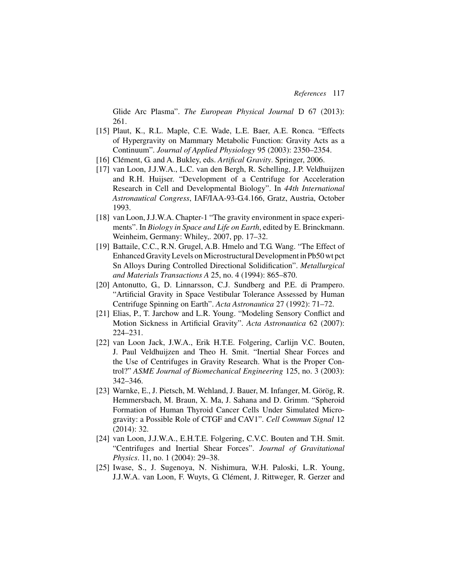Glide Arc Plasma". *The European Physical Journal* D 67 (2013): 261.

- [15] Plaut, K., R.L. Maple, C.E. Wade, L.E. Baer, A.E. Ronca. "Effects of Hypergravity on Mammary Metabolic Function: Gravity Acts as a Continuum". *Journal of Applied Physiology* 95 (2003): 2350–2354.
- [16] Clément, G. and A. Bukley, eds. *Artifical Gravity*. Springer, 2006.
- [17] van Loon, J.J.W.A., L.C. van den Bergh, R. Schelling, J.P. Veldhuijzen and R.H. Huijser. "Development of a Centrifuge for Acceleration Research in Cell and Developmental Biology". In *44th International Astronautical Congress*, IAF/IAA-93-G.4.166, Gratz, Austria, October 1993.
- [18] van Loon, J.J.W.A. Chapter-1 "The gravity environment in space experiments". In *Biology in Space and Life on Earth*, edited by E. Brinckmann. Weinheim, Germany: Whiley,. 2007, pp. 17–32.
- [19] Battaile, C.C., R.N. Grugel, A.B. Hmelo and T.G. Wang. "The Effect of Enhanced Gravity Levels on Microstructural Development in Pb50 wt pct Sn Alloys During Controlled Directional Solidification". *Metallurgical and Materials Transactions A* 25, no. 4 (1994): 865–870.
- [20] Antonutto, G., D. Linnarsson, C.J. Sundberg and P.E. di Prampero. "Artificial Gravity in Space Vestibular Tolerance Assessed by Human Centrifuge Spinning on Earth". *Acta Astronautica* 27 (1992): 71–72.
- [21] Elias, P., T. Jarchow and L.R. Young. "Modeling Sensory Conflict and Motion Sickness in Artificial Gravity". *Acta Astronautica* 62 (2007): 224–231.
- [22] van Loon Jack, J.W.A., Erik H.T.E. Folgering, Carlijn V.C. Bouten, J. Paul Veldhuijzen and Theo H. Smit. "Inertial Shear Forces and the Use of Centrifuges in Gravity Research. What is the Proper Control?" *ASME Journal of Biomechanical Engineering* 125, no. 3 (2003): 342–346.
- [23] Warnke, E., J. Pietsch, M. Wehland, J. Bauer, M. Infanger, M. Görög, R. Hemmersbach, M. Braun, X. Ma, J. Sahana and D. Grimm. "Spheroid Formation of Human Thyroid Cancer Cells Under Simulated Microgravity: a Possible Role of CTGF and CAV1". *Cell Commun Signal* 12 (2014): 32.
- [24] van Loon, J.J.W.A., E.H.T.E. Folgering, C.V.C. Bouten and T.H. Smit. "Centrifuges and Inertial Shear Forces". *Journal of Gravitational Physics*. 11, no. 1 (2004): 29–38.
- [25] Iwase, S., J. Sugenoya, N. Nishimura, W.H. Paloski, L.R. Young, J.J.W.A. van Loon, F. Wuyts, G. Clément, J. Rittweger, R. Gerzer and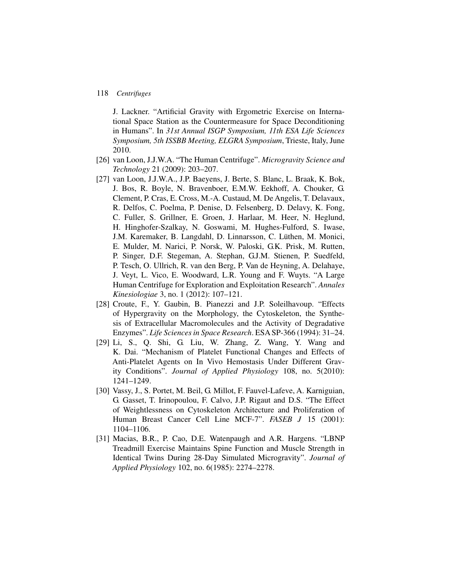J. Lackner. "Artificial Gravity with Ergometric Exercise on International Space Station as the Countermeasure for Space Deconditioning in Humans". In *31st Annual ISGP Symposium, 11th ESA Life Sciences Symposium, 5th ISSBB Meeting, ELGRA Symposium*, Trieste, Italy, June 2010.

- [26] van Loon, J.J.W.A. "The Human Centrifuge". *Microgravity Science and Technology* 21 (2009): 203–207.
- [27] van Loon, J.J.W.A., J.P. Baeyens, J. Berte, S. Blanc, L. Braak, K. Bok, J. Bos, R. Boyle, N. Bravenboer, E.M.W. Eekhoff, A. Chouker, G. Clement, P. Cras, E. Cross, M.-A. Custaud, M. De Angelis, T. Delavaux, R. Delfos, C. Poelma, P. Denise, D. Felsenberg, D. Delavy, K. Fong, C. Fuller, S. Grillner, E. Groen, J. Harlaar, M. Heer, N. Heglund, H. Hinghofer-Szalkay, N. Goswami, M. Hughes-Fulford, S. Iwase, J.M. Karemaker, B. Langdahl, D. Linnarsson, C. Lüthen, M. Monici, E. Mulder, M. Narici, P. Norsk, W. Paloski, G.K. Prisk, M. Rutten, P. Singer, D.F. Stegeman, A. Stephan, G.J.M. Stienen, P. Suedfeld, P. Tesch, O. Ullrich, R. van den Berg, P. Van de Heyning, A. Delahaye, J. Veyt, L. Vico, E. Woodward, L.R. Young and F. Wuyts. "A Large Human Centrifuge for Exploration and Exploitation Research". *Annales Kinesiologiae* 3, no. 1 (2012): 107–121.
- [28] Croute, F., Y. Gaubin, B. Pianezzi and J.P. Soleilhavoup. "Effects of Hypergravity on the Morphology, the Cytoskeleton, the Synthesis of Extracellular Macromolecules and the Activity of Degradative Enzymes". *Life Sciences in Space Research*. ESA SP-366 (1994): 31–24.
- [29] Li, S., Q. Shi, G. Liu, W. Zhang, Z. Wang, Y. Wang and K. Dai. "Mechanism of Platelet Functional Changes and Effects of Anti-Platelet Agents on In Vivo Hemostasis Under Different Gravity Conditions". *Journal of Applied Physiology* 108, no. 5(2010): 1241–1249.
- [30] Vassy, J., S. Portet, M. Beil, G. Millot, F. Fauvel-Lafeve, A. Karniguian, G. Gasset, T. Irinopoulou, F. Calvo, J.P. Rigaut and D.S. "The Effect of Weightlessness on Cytoskeleton Architecture and Proliferation of Human Breast Cancer Cell Line MCF-7". *FASEB J* 15 (2001): 1104–1106.
- [31] Macias, B.R., P. Cao, D.E. Watenpaugh and A.R. Hargens. "LBNP Treadmill Exercise Maintains Spine Function and Muscle Strength in Identical Twins During 28-Day Simulated Microgravity". *Journal of Applied Physiology* 102, no. 6(1985): 2274–2278.